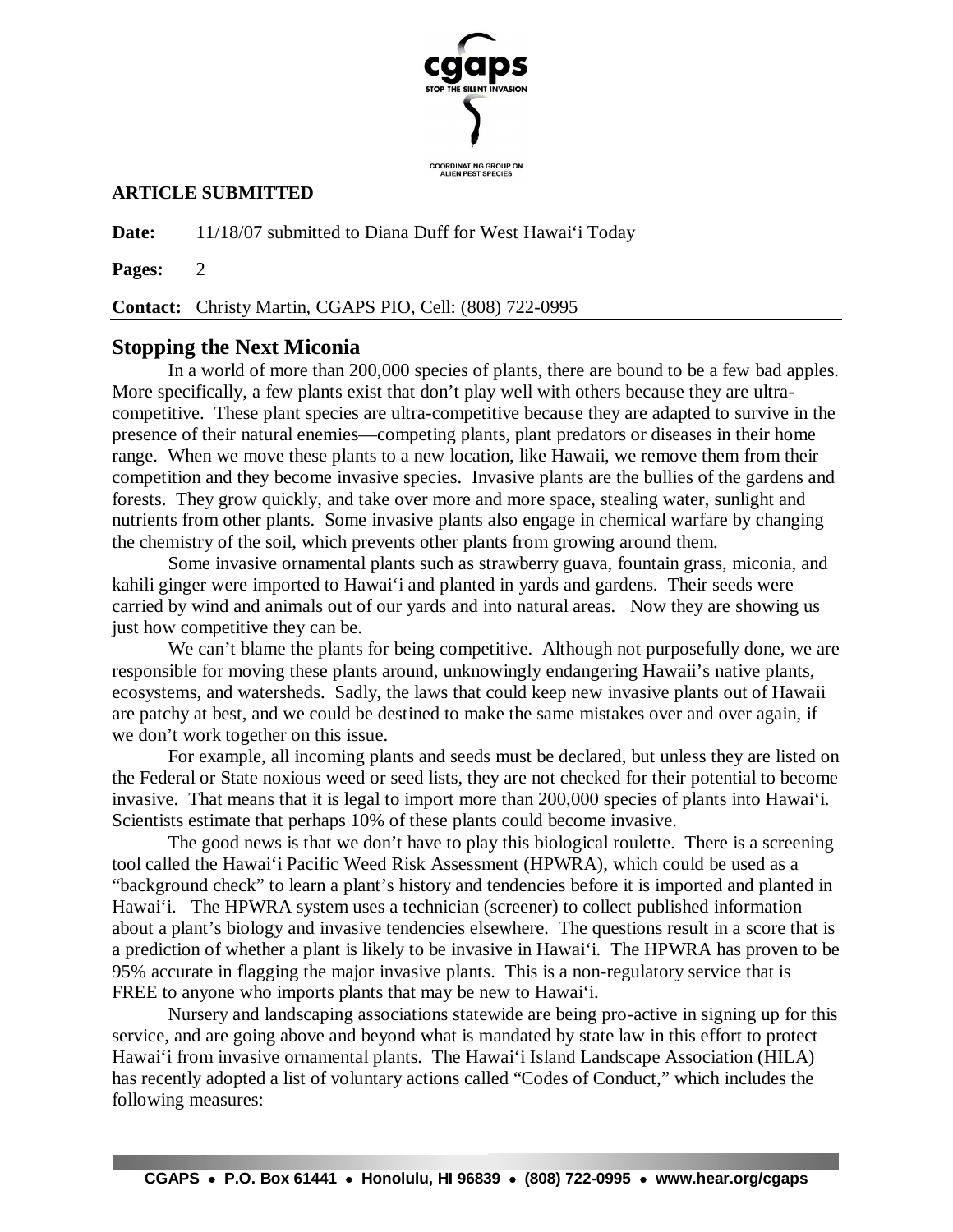

## **ARTICLE SUBMITTED**

**Date:** 11/18/07 submitted to Diana Duff for West Hawai'i Today

**Pages:** 2

**Contact:** Christy Martin, CGAPS PIO, Cell: (808) 722-0995

## **Stopping the Next Miconia**

In a world of more than 200,000 species of plants, there are bound to be a few bad apples. More specifically, a few plants exist that don't play well with others because they are ultracompetitive. These plant species are ultra-competitive because they are adapted to survive in the presence of their natural enemies—competing plants, plant predators or diseases in their home range. When we move these plants to a new location, like Hawaii, we remove them from their competition and they become invasive species. Invasive plants are the bullies of the gardens and forests. They grow quickly, and take over more and more space, stealing water, sunlight and nutrients from other plants. Some invasive plants also engage in chemical warfare by changing the chemistry of the soil, which prevents other plants from growing around them.

Some invasive ornamental plants such as strawberry guava, fountain grass, miconia, and kahili ginger were imported to Hawai'i and planted in yards and gardens. Their seeds were carried by wind and animals out of our yards and into natural areas. Now they are showing us just how competitive they can be.

We can't blame the plants for being competitive. Although not purposefully done, we are responsible for moving these plants around, unknowingly endangering Hawaii's native plants, ecosystems, and watersheds. Sadly, the laws that could keep new invasive plants out of Hawaii are patchy at best, and we could be destined to make the same mistakes over and over again, if we don't work together on this issue.

For example, all incoming plants and seeds must be declared, but unless they are listed on the Federal or State noxious weed or seed lists, they are not checked for their potential to become invasive. That means that it is legal to import more than 200,000 species of plants into Hawai'i. Scientists estimate that perhaps 10% of these plants could become invasive.

The good news is that we don't have to play this biological roulette. There is a screening tool called the Hawai'i Pacific Weed Risk Assessment (HPWRA), which could be used as a "background check" to learn a plant's history and tendencies before it is imported and planted in Hawai'i. The HPWRA system uses a technician (screener) to collect published information about a plant's biology and invasive tendencies elsewhere. The questions result in a score that is a prediction of whether a plant is likely to be invasive in Hawai'i. The HPWRA has proven to be 95% accurate in flagging the major invasive plants. This is a non-regulatory service that is FREE to anyone who imports plants that may be new to Hawai'i.

Nursery and landscaping associations statewide are being pro-active in signing up for this service, and are going above and beyond what is mandated by state law in this effort to protect Hawai'i from invasive ornamental plants. The Hawai'i Island Landscape Association (HILA) has recently adopted a list of voluntary actions called "Codes of Conduct," which includes the following measures: